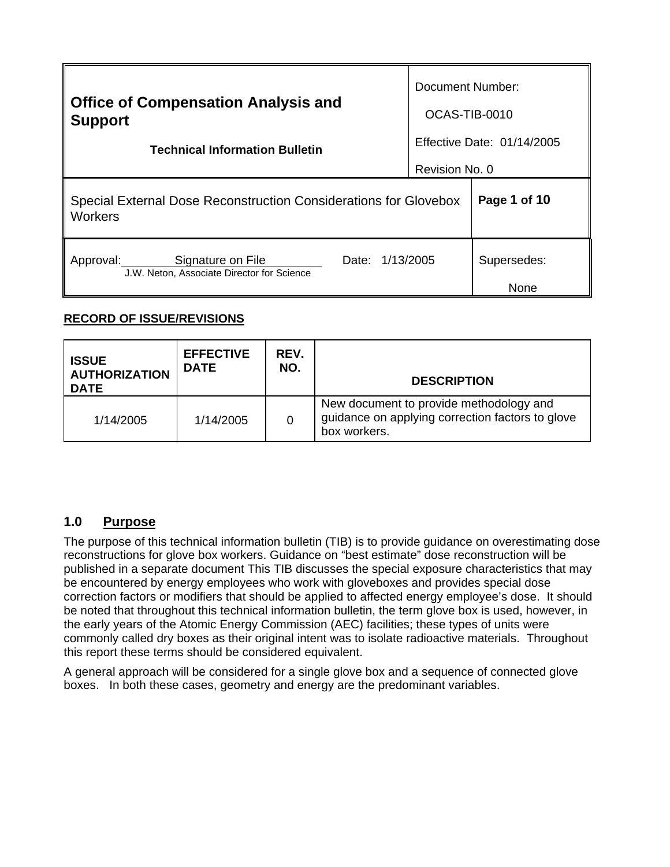| <b>Office of Compensation Analysis and</b>                                                         |                | <b>Document Number:</b>    |  |
|----------------------------------------------------------------------------------------------------|----------------|----------------------------|--|
| <b>Support</b>                                                                                     | OCAS-TIB-0010  |                            |  |
| <b>Technical Information Bulletin</b>                                                              |                | Effective Date: 01/14/2005 |  |
|                                                                                                    | Revision No. 0 |                            |  |
| Special External Dose Reconstruction Considerations for Glovebox<br><b>Workers</b>                 | Page 1 of 10   |                            |  |
| 1/13/2005<br>Signature on File<br>Approval:<br>Date:<br>J.W. Neton, Associate Director for Science |                | Supersedes:<br>None        |  |

## **RECORD OF ISSUE/REVISIONS**

| <b>ISSUE</b><br><b>AUTHORIZATION</b><br><b>DATE</b> | <b>EFFECTIVE</b><br><b>DATE</b> | REV.<br>NO. | <b>DESCRIPTION</b>                                                                                          |
|-----------------------------------------------------|---------------------------------|-------------|-------------------------------------------------------------------------------------------------------------|
| 1/14/2005                                           | 1/14/2005                       | 0           | New document to provide methodology and<br>guidance on applying correction factors to glove<br>box workers. |

## **1.0 Purpose**

this report these terms should be considered equivalent. The purpose of this technical information bulletin (TIB) is to provide guidance on overestimating dose reconstructions for glove box workers. Guidance on "best estimate" dose reconstruction will be published in a separate document This TIB discusses the special exposure characteristics that may be encountered by energy employees who work with gloveboxes and provides special dose correction factors or modifiers that should be applied to affected energy employee's dose. It should be noted that throughout this technical information bulletin, the term glove box is used, however, in the early years of the Atomic Energy Commission (AEC) facilities; these types of units were commonly called dry boxes as their original intent was to isolate radioactive materials. Throughout

A general approach will be considered for a single glove box and a sequence of connected glove boxes. In both these cases, geometry and energy are the predominant variables.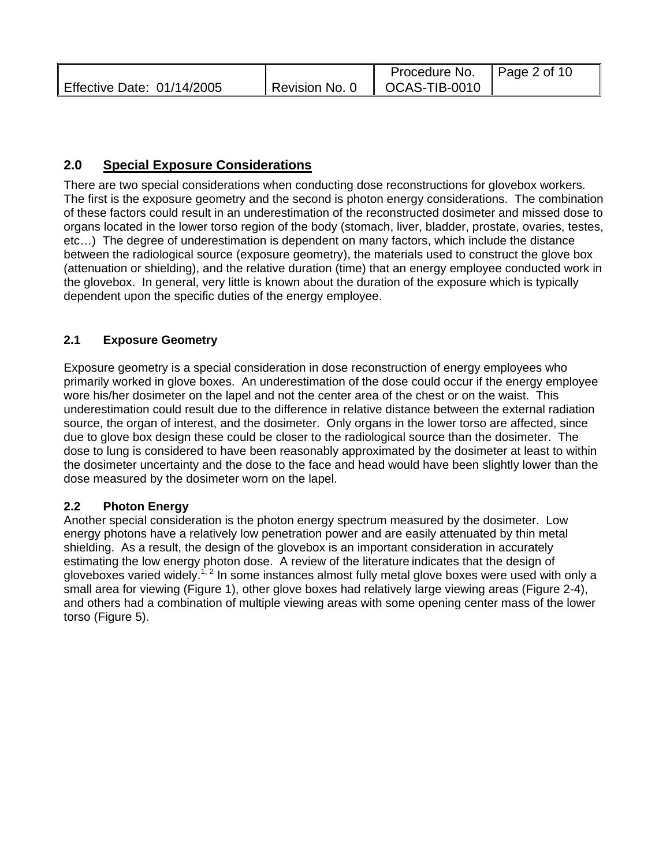|                            | Procedure No. $\parallel$ Page 2 of 10 |  |
|----------------------------|----------------------------------------|--|
| Effective Date: 01/14/2005 | Revision No. 0   OCAS-TIB-0010         |  |

# **2.0 Special Exposure Considerations**

There are two special considerations when conducting dose reconstructions for glovebox workers. The first is the exposure geometry and the second is photon energy considerations. The combination of these factors could result in an underestimation of the reconstructed dosimeter and missed dose to organs located in the lower torso region of the body (stomach, liver, bladder, prostate, ovaries, testes, etc…) The degree of underestimation is dependent on many factors, which include the distance between the radiological source (exposure geometry), the materials used to construct the glove box (attenuation or shielding), and the relative duration (time) that an energy employee conducted work in the glovebox. In general, very little is known about the duration of the exposure which is typically dependent upon the specific duties of the energy employee.

## **2.1 Exposure Geometry**

Exposure geometry is a special consideration in dose reconstruction of energy employees who primarily worked in glove boxes. An underestimation of the dose could occur if the energy employee wore his/her dosimeter on the lapel and not the center area of the chest or on the waist. This underestimation could result due to the difference in relative distance between the external radiation source, the organ of interest, and the dosimeter. Only organs in the lower torso are affected, since due to glove box design these could be closer to the radiological source than the dosimeter. The dose to lung is considered to have been reasonably approximated by the dosimeter at least to within the dosimeter uncertainty and the dose to the face and head would have been slightly lower than the dose measured by the dosimeter worn on the lapel.

### **2.2 Photon Energy**

Another special consideration is the photon energy spectrum measured by the dosimeter. Low energy photons have a relatively low penetration power and are easily attenuated by thin metal shielding. As a result, the design of the glovebox is an important consideration in accurately estimating the low energy photon dose. A review of the literature indicates that the design of gloveboxes varied widely.<sup>1, 2</sup> In some instances almost fully metal glove boxes were used with only a small area for viewing (Figure 1), other glove boxes had relatively large viewing areas (Figure 2-4), and others had a combination of multiple viewing areas with some opening center mass of the lower torso (Figure 5).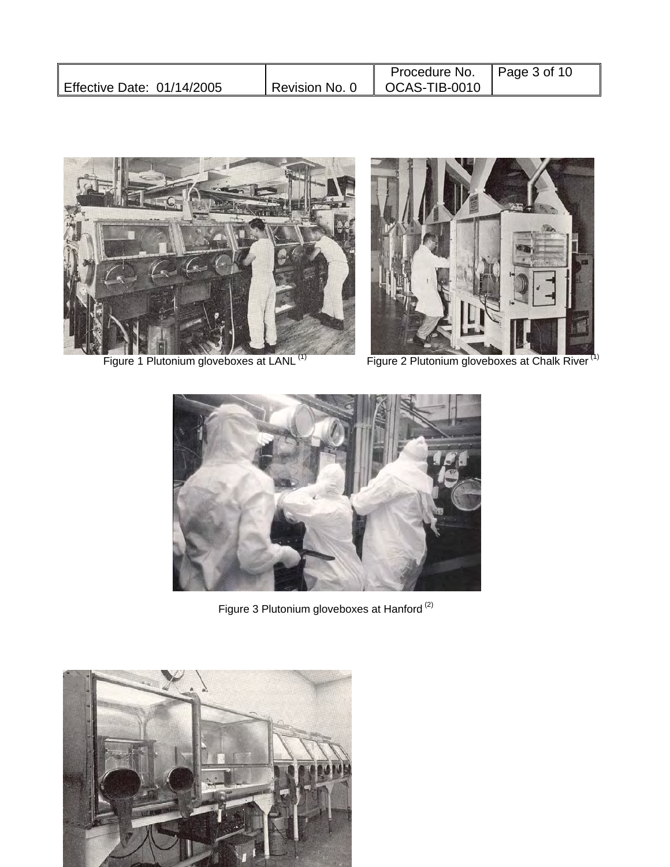|                            |                | Procedure No. $\parallel$ Page 3 of 10 |  |
|----------------------------|----------------|----------------------------------------|--|
| Effective Date: 01/14/2005 | Revision No. 0 | OCAS-TIB-0010                          |  |







Figure 1 Plutonium gloveboxes at LANL<sup>(1)</sup> Figure 2 Plutonium gloveboxes at Chalk River<sup>(1)</sup>



Figure 3 Plutonium gloveboxes at Hanford  $^{(2)}$ 

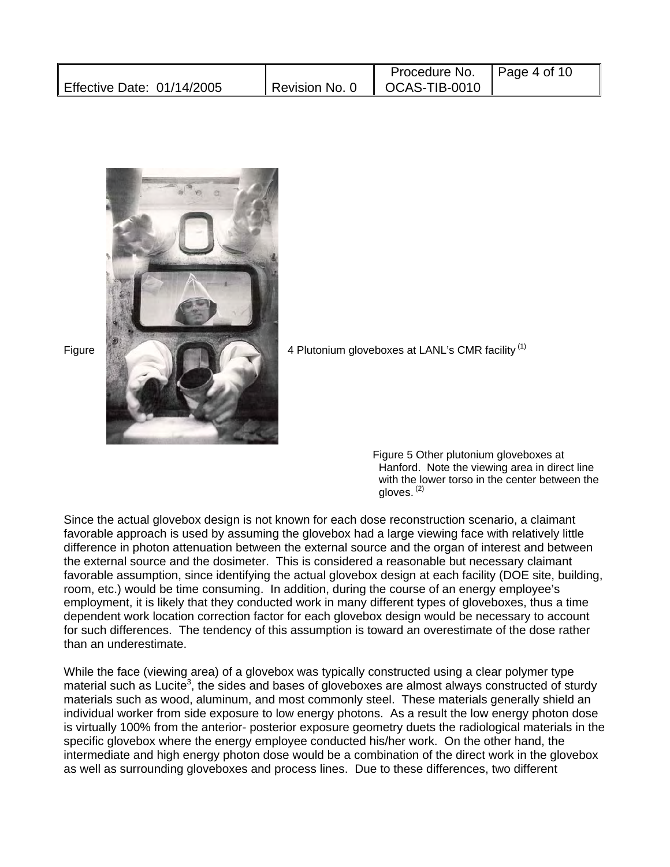|                            | Procedure No.                     | $\parallel$ Page 4 of 10 |
|----------------------------|-----------------------------------|--------------------------|
| Effective Date: 01/14/2005 | I Revision No. 0 II OCAS-TIB-0010 |                          |



 Figure 5 Other plutonium gloveboxes at Hanford. Note the viewing area in direct line with the lower torso in the center between the gloves. (2)

Since the actual glovebox design is not known for each dose reconstruction scenario, a claimant favorable approach is used by assuming the glovebox had a large viewing face with relatively little difference in photon attenuation between the external source and the organ of interest and between the external source and the dosimeter. This is considered a reasonable but necessary claimant favorable assumption, since identifying the actual glovebox design at each facility (DOE site, building, room, etc.) would be time consuming. In addition, during the course of an energy employee's employment, it is likely that they conducted work in many different types of gloveboxes, thus a time dependent work location correction factor for each glovebox design would be necessary to account for such differences. The tendency of this assumption is toward an overestimate of the dose rather than an underestimate.

While the face (viewing area) of a glovebox was typically constructed using a clear polymer type material such as Lucite<sup>3</sup>, the sides and bases of gloveboxes are almost always constructed of sturdy materials such as wood, aluminum, and most commonly steel. These materials generally shield an individual worker from side exposure to low energy photons. As a result the low energy photon dose is virtually 100% from the anterior- posterior exposure geometry duets the radiological materials in the specific glovebox where the energy employee conducted his/her work. On the other hand, the intermediate and high energy photon dose would be a combination of the direct work in the glovebox as well as surrounding gloveboxes and process lines. Due to these differences, two different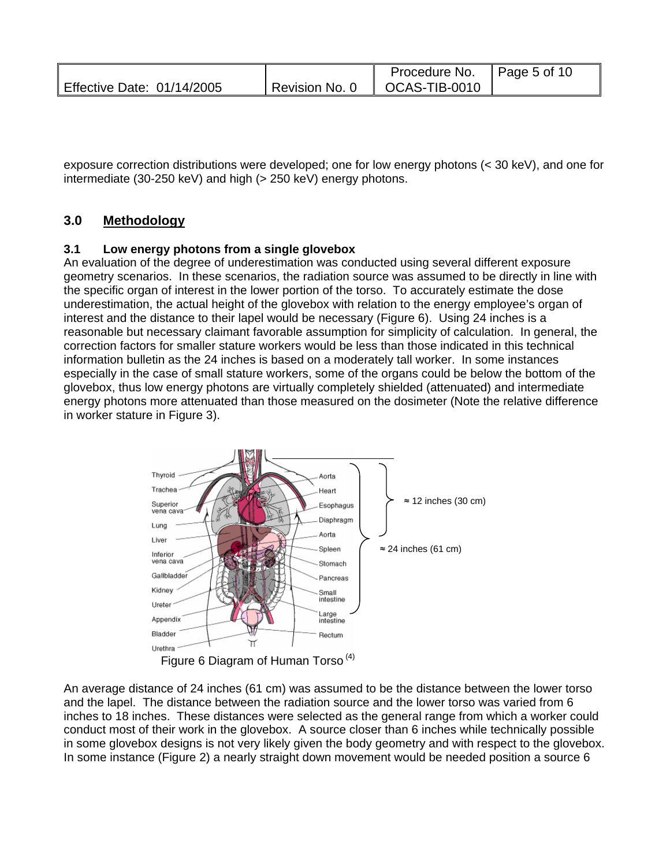|                            |                | Procedure No. $\parallel$ Page 5 of 10 |  |
|----------------------------|----------------|----------------------------------------|--|
| Effective Date: 01/14/2005 | Revision No. 0 | $\parallel$ OCAS-TIB-0010              |  |

exposure correction distributions were developed; one for low energy photons (< 30 keV), and one for intermediate (30-250 keV) and high (> 250 keV) energy photons.

## **3.0 Methodology**

#### **3.1 Low energy photons from a single glovebox**

An evaluation of the degree of underestimation was conducted using several different exposure geometry scenarios. In these scenarios, the radiation source was assumed to be directly in line with the specific organ of interest in the lower portion of the torso. To accurately estimate the dose underestimation, the actual height of the glovebox with relation to the energy employee's organ of interest and the distance to their lapel would be necessary (Figure 6). Using 24 inches is a reasonable but necessary claimant favorable assumption for simplicity of calculation. In general, the correction factors for smaller stature workers would be less than those indicated in this technical information bulletin as the 24 inches is based on a moderately tall worker. In some instances especially in the case of small stature workers, some of the organs could be below the bottom of the glovebox, thus low energy photons are virtually completely shielded (attenuated) and intermediate energy photons more attenuated than those measured on the dosimeter (Note the relative difference in worker stature in Figure 3).



An average distance of 24 inches (61 cm) was assumed to be the distance between the lower torso and the lapel. The distance between the radiation source and the lower torso was varied from 6 inches to 18 inches. These distances were selected as the general range from which a worker could conduct most of their work in the glovebox. A source closer than 6 inches while technically possible in some glovebox designs is not very likely given the body geometry and with respect to the glovebox. In some instance (Figure 2) a nearly straight down movement would be needed position a source 6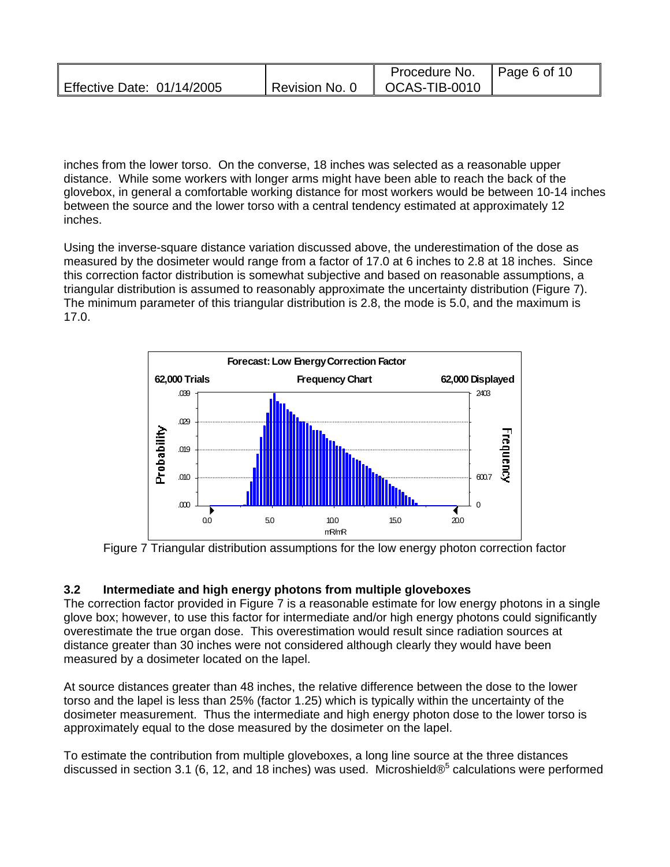|                            |                 | Procedure No. $\parallel$ Page 6 of 10 |  |
|----------------------------|-----------------|----------------------------------------|--|
| Effective Date: 01/14/2005 | Revision No. 0, | $\overline{O}$ CAS-TIB-0010            |  |

inches from the lower torso. On the converse, 18 inches was selected as a reasonable upper distance. While some workers with longer arms might have been able to reach the back of the glovebox, in general a comfortable working distance for most workers would be between 10-14 inches between the source and the lower torso with a central tendency estimated at approximately 12 inches.

Using the inverse-square distance variation discussed above, the underestimation of the dose as measured by the dosimeter would range from a factor of 17.0 at 6 inches to 2.8 at 18 inches. Since this correction factor distribution is somewhat subjective and based on reasonable assumptions, a triangular distribution is assumed to reasonably approximate the uncertainty distribution (Figure 7). The minimum parameter of this triangular distribution is 2.8, the mode is 5.0, and the maximum is 17.0.



Figure 7 Triangular distribution assumptions for the low energy photon correction factor

#### **3.2 Intermediate and high energy photons from multiple gloveboxes**

The correction factor provided in Figure 7 is a reasonable estimate for low energy photons in a single glove box; however, to use this factor for intermediate and/or high energy photons could significantly overestimate the true organ dose. This overestimation would result since radiation sources at distance greater than 30 inches were not considered although clearly they would have been measured by a dosimeter located on the lapel.

approximately equal to the dose measured by the dosimeter on the lapel. At source distances greater than 48 inches, the relative difference between the dose to the lower torso and the lapel is less than 25% (factor 1.25) which is typically within the uncertainty of the dosimeter measurement. Thus the intermediate and high energy photon dose to the lower torso is

To estimate the contribution from multiple gloveboxes, a long line source at the three distances discussed in section 3.1 (6, 12, and 18 inches) was used. Microshield $\mathcal{O}^5$  calculations were performed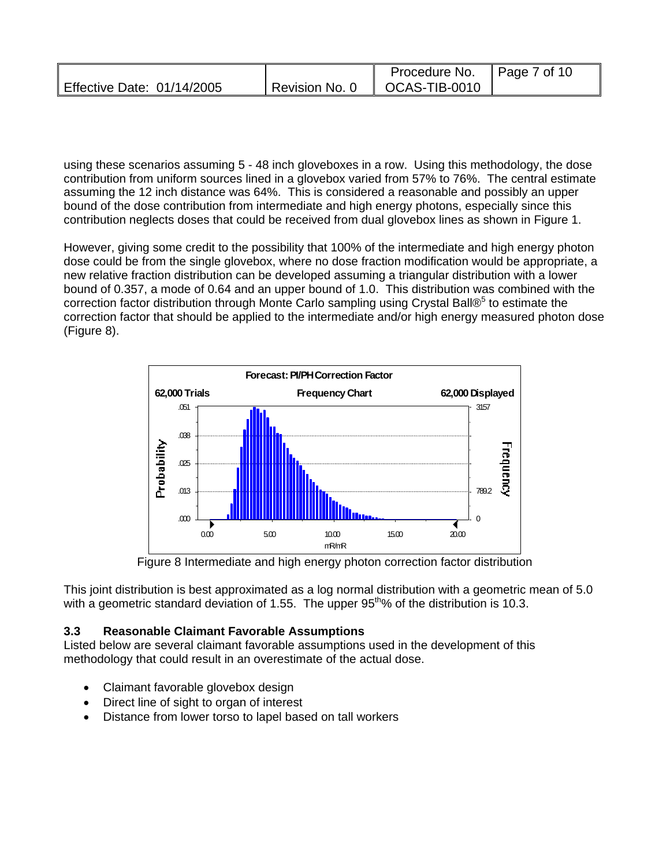|                            | Procedure No.   Page 7 of 10   |  |
|----------------------------|--------------------------------|--|
| Effective Date: 01/14/2005 | Revision No. 0   OCAS-TIB-0010 |  |

using these scenarios assuming 5 - 48 inch gloveboxes in a row. Using this methodology, the dose contribution from uniform sources lined in a glovebox varied from 57% to 76%. The central estimate assuming the 12 inch distance was 64%. This is considered a reasonable and possibly an upper bound of the dose contribution from intermediate and high energy photons, especially since this contribution neglects doses that could be received from dual glovebox lines as shown in Figure 1.

However, giving some credit to the possibility that 100% of the intermediate and high energy photon dose could be from the single glovebox, where no dose fraction modification would be appropriate, a new relative fraction distribution can be developed assuming a triangular distribution with a lower bound of 0.357, a mode of 0.64 and an upper bound of 1.0. This distribution was combined with the correction factor distribution through Monte Carlo sampling using Crystal Ball®<sup>5</sup> to estimate the correction factor that should be applied to the intermediate and/or high energy measured photon dose (Figure 8).



Figure 8 Intermediate and high energy photon correction factor distribution

This joint distribution is best approximated as a log normal distribution with a geometric mean of 5.0 with a geometric standard deviation of 1.55. The upper  $95<sup>th</sup>%$  of the distribution is 10.3.

#### **3.3 Reasonable Claimant Favorable Assumptions**

Listed below are several claimant favorable assumptions used in the development of this methodology that could result in an overestimate of the actual dose.

- Claimant favorable glovebox design
- Direct line of sight to organ of interest
- Distance from lower torso to lapel based on tall workers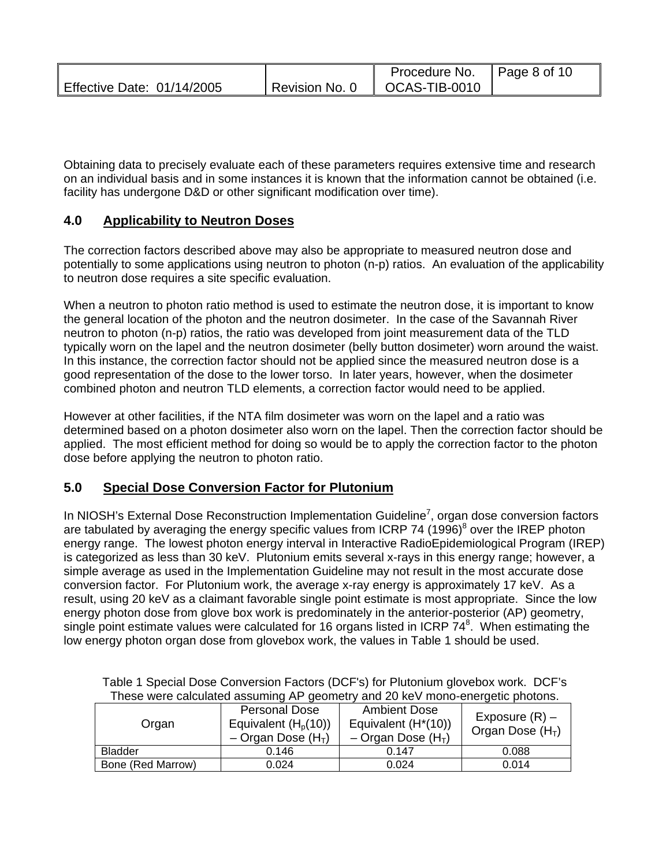|                            | Procedure No. $\parallel$ Page 8 of 10 |  |
|----------------------------|----------------------------------------|--|
| Effective Date: 01/14/2005 | Revision No. 0   OCAS-TIB-0010         |  |

Obtaining data to precisely evaluate each of these parameters requires extensive time and research on an individual basis and in some instances it is known that the information cannot be obtained (i.e. facility has undergone D&D or other significant modification over time).

## **4.0 Applicability to Neutron Doses**

The correction factors described above may also be appropriate to measured neutron dose and potentially to some applications using neutron to photon (n-p) ratios. An evaluation of the applicability to neutron dose requires a site specific evaluation.

When a neutron to photon ratio method is used to estimate the neutron dose, it is important to know the general location of the photon and the neutron dosimeter. In the case of the Savannah River neutron to photon (n-p) ratios, the ratio was developed from joint measurement data of the TLD typically worn on the lapel and the neutron dosimeter (belly button dosimeter) worn around the waist. In this instance, the correction factor should not be applied since the measured neutron dose is a good representation of the dose to the lower torso. In later years, however, when the dosimeter combined photon and neutron TLD elements, a correction factor would need to be applied.

 dose before applying the neutron to photon ratio. However at other facilities, if the NTA film dosimeter was worn on the lapel and a ratio was determined based on a photon dosimeter also worn on the lapel. Then the correction factor should be applied. The most efficient method for doing so would be to apply the correction factor to the photon

## **5.0 Special Dose Conversion Factor for Plutonium**

In NIOSH's External Dose Reconstruction Implementation Guideline<sup>7</sup>, organ dose conversion factors are tabulated by averaging the energy specific values from ICRP 74 (1996)<sup>8</sup> over the IREP photon energy range. The lowest photon energy interval in Interactive RadioEpidemiological Program (IREP) is categorized as less than 30 keV. Plutonium emits several x-rays in this energy range; however, a simple average as used in the Implementation Guideline may not result in the most accurate dose conversion factor. For Plutonium work, the average x-ray energy is approximately 17 keV. As a result, using 20 keV as a claimant favorable single point estimate is most appropriate. Since the low energy photon dose from glove box work is predominately in the anterior-posterior (AP) geometry, single point estimate values were calculated for 16 organs listed in ICRP  $74^8$ . When estimating the low energy photon organ dose from glovebox work, the values in Table 1 should be used.

| $11000$ $11010$ $0000$ $0000$ $0000$ $111110$ $111$<br>and Lond , mond onorgono photono. |                                                                            |                                                                                  |                                       |  |
|------------------------------------------------------------------------------------------|----------------------------------------------------------------------------|----------------------------------------------------------------------------------|---------------------------------------|--|
| Organ                                                                                    | Personal Dose<br>Equivalent $(Ho(10))$<br>$-$ Organ Dose (H <sub>T</sub> ) | <b>Ambient Dose</b><br>Equivalent $(H*(10))$<br>$-$ Organ Dose (H <sub>T</sub> ) | Exposure $(R)$ –<br>Organ Dose $(HT)$ |  |
| <b>Bladder</b>                                                                           | 0.146                                                                      | 0.147                                                                            | 0.088                                 |  |
| Bone (Red Marrow)                                                                        | 0.024                                                                      | 0.024                                                                            | 0.014                                 |  |

Table 1 Special Dose Conversion Factors (DCF's) for Plutonium glovebox work. DCF's These were calculated assuming AP geometry and 20 keV mono-energetic photons.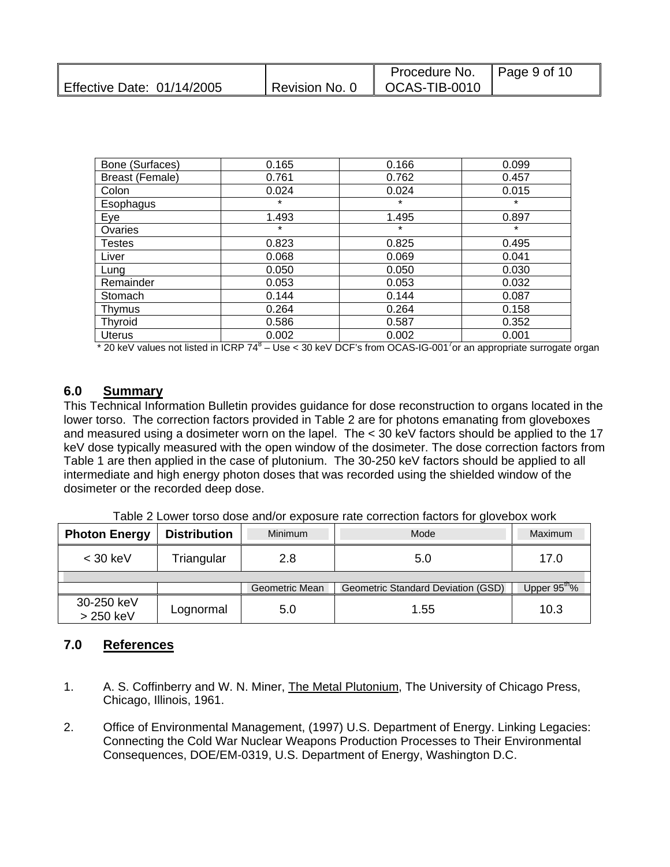|                            |                          | Procedure No. $\parallel$ Page 9 of 10 |  |
|----------------------------|--------------------------|----------------------------------------|--|
| Effective Date: 01/14/2005 | $\,$ Revision No. 0 $\,$ | $\parallel$ OCAS-TIB-0010 $\parallel$  |  |

| Bone (Surfaces)        | 0.165   | 0.166   | 0.099   |
|------------------------|---------|---------|---------|
| <b>Breast (Female)</b> | 0.761   | 0.762   | 0.457   |
| Colon                  | 0.024   | 0.024   | 0.015   |
| Esophagus              | $\star$ | $\star$ | $\star$ |
| Eye                    | 1.493   | 1.495   | 0.897   |
| Ovaries                | $\star$ | $\star$ | $\star$ |
| <b>Testes</b>          | 0.823   | 0.825   | 0.495   |
| Liver                  | 0.068   | 0.069   | 0.041   |
| Lung                   | 0.050   | 0.050   | 0.030   |
| Remainder              | 0.053   | 0.053   | 0.032   |
| Stomach                | 0.144   | 0.144   | 0.087   |
| Thymus                 | 0.264   | 0.264   | 0.158   |
| Thyroid                | 0.586   | 0.587   | 0.352   |
| Uterus                 | 0.002   | 0.002   | 0.001   |

\* 20 keV values not listed in ICRP 74<sup>8</sup> – Use < 30 keV DCF's from OCAS-IG-001<sup>7</sup> or an appropriate surrogate organ

#### **6.0 Summary**

This Technical Information Bulletin provides guidance for dose reconstruction to organs located in the lower torso. The correction factors provided in Table 2 are for photons emanating from gloveboxes and measured using a dosimeter worn on the lapel. The < 30 keV factors should be applied to the 17 keV dose typically measured with the open window of the dosimeter. The dose correction factors from Table 1 are then applied in the case of plutonium. The 30-250 keV factors should be applied to all intermediate and high energy photon doses that was recorded using the shielded window of the dosimeter or the recorded deep dose.

| <b>Photon Energy</b>    | <b>Distribution</b> | Minimum        | Mode                               | <b>Maximum</b>           |  |  |
|-------------------------|---------------------|----------------|------------------------------------|--------------------------|--|--|
| $<$ 30 keV              | Triangular          | 2.8            | 5.0                                | 17.0                     |  |  |
|                         |                     |                |                                    |                          |  |  |
|                         |                     | Geometric Mean | Geometric Standard Deviation (GSD) | Upper 95 <sup>th</sup> % |  |  |
| 30-250 keV<br>> 250 keV | Lognormal           | 5.0            | 1.55                               | 10.3                     |  |  |

Table 2 Lower torso dose and/or exposure rate correction factors for glovebox work

#### **7.0 References**

- 1. A. S. Coffinberry and W. N. Miner, The Metal Plutonium, The University of Chicago Press, Chicago, Illinois, 1961.
- 2. Office of Environmental Management, (1997) U.S. Department of Energy. Linking Legacies: Connecting the Cold War Nuclear Weapons Production Processes to Their Environmental Consequences, DOE/EM-0319, U.S. Department of Energy, Washington D.C.